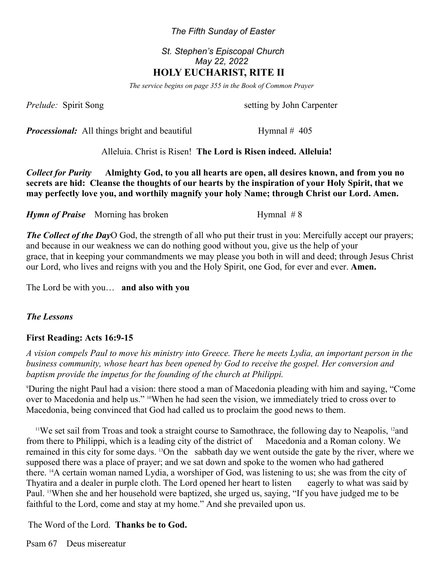#### *The Fifth Sunday of Easter*

### *St. Stephen's Episcopal Church May 22, 2022*  **HOLY EUCHARIST, RITE II**

*The service begins on page 355 in the Book of Common Prayer*

*Prelude:* Spirit Song setting by John Carpenter

*Processional:* All things bright and beautiful Hymnal # 405

Alleluia. Christ is Risen! **The Lord is Risen indeed. Alleluia!** 

*Collect for Purity* **Almighty God, to you all hearts are open, all desires known, and from you no secrets are hid: Cleanse the thoughts of our hearts by the inspiration of your Holy Spirit, that we may perfectly love you, and worthily magnify your holy Name; through Christ our Lord. Amen.**

*Hymn of Praise* Morning has broken Hymnal # 8

*The Collect of the Day*O God, the strength of all who put their trust in you: Mercifully accept our prayers; and because in our weakness we can do nothing good without you, give us the help of your grace, that in keeping your commandments we may please you both in will and deed; through Jesus Christ our Lord, who lives and reigns with you and the Holy Spirit, one God, for ever and ever. **Amen.** 

The Lord be with you… **and also with you**

#### *The Lessons*

#### **First Reading: Acts 16:9-15**

*A vision compels Paul to move his ministry into Greece. There he meets Lydia, an important person in the business community, whose heart has been opened by God to receive the gospel. Her conversion and baptism provide the impetus for the founding of the church at Philippi.*

<sup>9</sup>During the night Paul had a vision: there stood a man of Macedonia pleading with him and saying, "Come over to Macedonia and help us." 10When he had seen the vision, we immediately tried to cross over to Macedonia, being convinced that God had called us to proclaim the good news to them.

<sup>11</sup>We set sail from Troas and took a straight course to Samothrace, the following day to Neapolis, <sup>12</sup>and from there to Philippi, which is a leading city of the district of Macedonia and a Roman colony. We remained in this city for some days. 13On the sabbath day we went outside the gate by the river, where we supposed there was a place of prayer; and we sat down and spoke to the women who had gathered there. 14A certain woman named Lydia, a worshiper of God, was listening to us; she was from the city of Thyatira and a dealer in purple cloth. The Lord opened her heart to listen eagerly to what was said by Paul. 15When she and her household were baptized, she urged us, saying, "If you have judged me to be faithful to the Lord, come and stay at my home." And she prevailed upon us.

The Word of the Lord. **Thanks be to God.**

Psam 67 Deus misereatur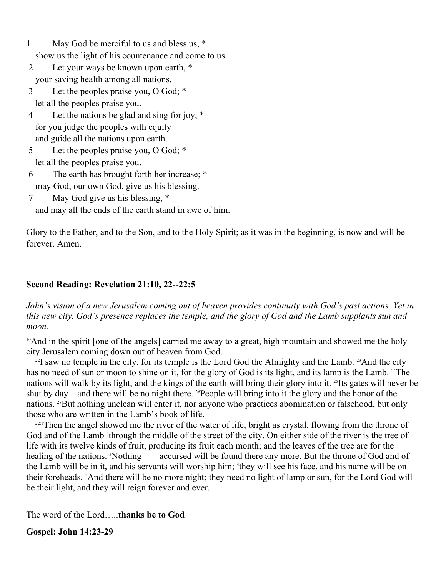- 1 May God be merciful to us and bless us, \* show us the light of his countenance and come to us.
- 2 Let your ways be known upon earth, \* your saving health among all nations.
- 3 Let the peoples praise you, O God; \* let all the peoples praise you.
- 4 Let the nations be glad and sing for joy, \* for you judge the peoples with equity and guide all the nations upon earth.
- 5 Let the peoples praise you, O God; \* let all the peoples praise you.
- 6 The earth has brought forth her increase; \* may God, our own God, give us his blessing.
- 7 May God give us his blessing, \* and may all the ends of the earth stand in awe of him.

Glory to the Father, and to the Son, and to the Holy Spirit; as it was in the beginning, is now and will be forever. Amen.

# **Second Reading: Revelation 21:10, 22--22:5**

*John's vision of a new Jerusalem coming out of heaven provides continuity with God's past actions. Yet in this new city, God's presence replaces the temple, and the glory of God and the Lamb supplants sun and moon.*

<sup>10</sup>And in the spirit [one of the angels] carried me away to a great, high mountain and showed me the holy city Jerusalem coming down out of heaven from God.

 $^{22}$ I saw no temple in the city, for its temple is the Lord God the Almighty and the Lamb.  $^{23}$ And the city has no need of sun or moon to shine on it, for the glory of God is its light, and its lamp is the Lamb. <sup>24</sup>The nations will walk by its light, and the kings of the earth will bring their glory into it. 25Its gates will never be shut by day—and there will be no night there. <sup>26</sup>People will bring into it the glory and the honor of the nations. 27But nothing unclean will enter it, nor anyone who practices abomination or falsehood, but only those who are written in the Lamb's book of life.

<sup>22:1</sup>Then the angel showed me the river of the water of life, bright as crystal, flowing from the throne of God and of the Lamb <sup>2</sup>through the middle of the street of the city. On either side of the river is the tree of life with its twelve kinds of fruit, producing its fruit each month; and the leaves of the tree are for the healing of the nations. <sup>3</sup>Nothing accursed will be found there any more. But the throne of God and of the Lamb will be in it, and his servants will worship him; <sup>4</sup>they will see his face, and his name will be on their foreheads. 5And there will be no more night; they need no light of lamp or sun, for the Lord God will be their light, and they will reign forever and ever.

The word of the Lord…..**thanks be to God**

**Gospel: John 14:23-29**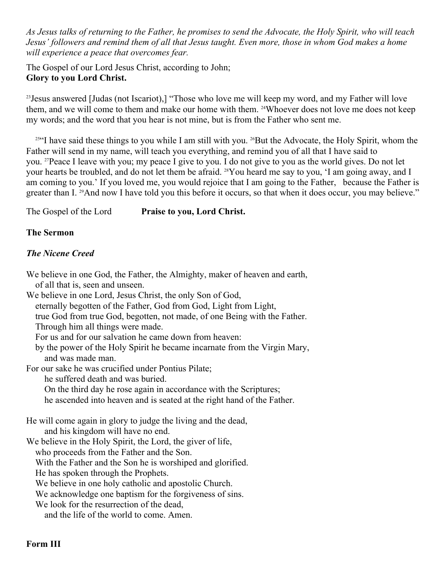*As Jesus talks of returning to the Father, he promises to send the Advocate, the Holy Spirit, who will teach Jesus' followers and remind them of all that Jesus taught. Even more, those in whom God makes a home will experience a peace that overcomes fear.*

The Gospel of our Lord Jesus Christ, according to John; **Glory to you Lord Christ.**

<sup>23</sup>Jesus answered [Judas (not Iscariot),] "Those who love me will keep my word, and my Father will love them, and we will come to them and make our home with them. <sup>24</sup>Whoever does not love me does not keep my words; and the word that you hear is not mine, but is from the Father who sent me.

<sup>25"</sup>I have said these things to you while I am still with you. <sup>26</sup>But the Advocate, the Holy Spirit, whom the Father will send in my name, will teach you everything, and remind you of all that I have said to you. 27Peace I leave with you; my peace I give to you. I do not give to you as the world gives. Do not let your hearts be troubled, and do not let them be afraid. 28You heard me say to you, 'I am going away, and I am coming to you.' If you loved me, you would rejoice that I am going to the Father, because the Father is greater than I. <sup>29</sup>And now I have told you this before it occurs, so that when it does occur, you may believe."

The Gospel of the Lord **Praise to you, Lord Christ.** 

## **The Sermon**

# *The Nicene Creed*

We believe in one God, the Father, the Almighty, maker of heaven and earth, of all that is, seen and unseen. We believe in one Lord, Jesus Christ, the only Son of God, eternally begotten of the Father, God from God, Light from Light, true God from true God, begotten, not made, of one Being with the Father. Through him all things were made. For us and for our salvation he came down from heaven: by the power of the Holy Spirit he became incarnate from the Virgin Mary, and was made man. For our sake he was crucified under Pontius Pilate; he suffered death and was buried. On the third day he rose again in accordance with the Scriptures; he ascended into heaven and is seated at the right hand of the Father. He will come again in glory to judge the living and the dead, and his kingdom will have no end. We believe in the Holy Spirit, the Lord, the giver of life, who proceeds from the Father and the Son. With the Father and the Son he is worshiped and glorified. He has spoken through the Prophets. We believe in one holy catholic and apostolic Church. We acknowledge one baptism for the forgiveness of sins. We look for the resurrection of the dead. and the life of the world to come. Amen.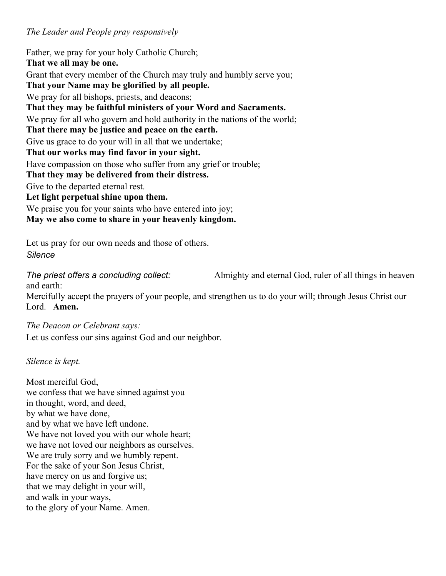## *The Leader and People pray responsively*

Father, we pray for your holy Catholic Church; **That we all may be one.** Grant that every member of the Church may truly and humbly serve you; **That your Name may be glorified by all people.** We pray for all bishops, priests, and deacons; **That they may be faithful ministers of your Word and Sacraments.** We pray for all who govern and hold authority in the nations of the world; **That there may be justice and peace on the earth.** Give us grace to do your will in all that we undertake; **That our works may find favor in your sight.** Have compassion on those who suffer from any grief or trouble; **That they may be delivered from their distress.** Give to the departed eternal rest. **Let light perpetual shine upon them.** We praise you for your saints who have entered into joy; **May we also come to share in your heavenly kingdom.**

Let us pray for our own needs and those of others. *Silence*

*The priest offers a concluding collect:* Almighty and eternal God, ruler of all things in heaven and earth:

Mercifully accept the prayers of your people, and strengthen us to do your will; through Jesus Christ our Lord. **Amen.** 

*The Deacon or Celebrant says:* 

Let us confess our sins against God and our neighbor.

*Silence is kept.*

Most merciful God, we confess that we have sinned against you in thought, word, and deed, by what we have done, and by what we have left undone. We have not loved you with our whole heart; we have not loved our neighbors as ourselves. We are truly sorry and we humbly repent. For the sake of your Son Jesus Christ, have mercy on us and forgive us; that we may delight in your will, and walk in your ways, to the glory of your Name. Amen.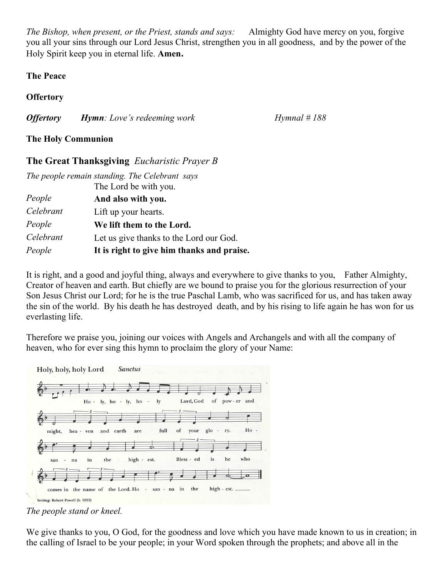*The Bishop, when present, or the Priest, stands and says:* Almighty God have mercy on you, forgive you all your sins through our Lord Jesus Christ, strengthen you in all goodness, and by the power of the Holy Spirit keep you in eternal life. **Amen.**

#### **The Peace**

## **Offertory**

*Offertory Hymn: Love's redeeming work Hymnal # 188* 

## **The Holy Communion**

# **The Great Thanksgiving** *Eucharistic Prayer B*

| The people remain standing. The Celebrant says |                                            |
|------------------------------------------------|--------------------------------------------|
|                                                | The Lord be with you.                      |
| People                                         | And also with you.                         |
| Celebrant                                      | Lift up your hearts.                       |
| People                                         | We lift them to the Lord.                  |
| Celebrant                                      | Let us give thanks to the Lord our God.    |
| People                                         | It is right to give him thanks and praise. |

It is right, and a good and joyful thing, always and everywhere to give thanks to you, Father Almighty, Creator of heaven and earth. But chiefly are we bound to praise you for the glorious resurrection of your Son Jesus Christ our Lord; for he is the true Paschal Lamb, who was sacrificed for us, and has taken away the sin of the world. By his death he has destroyed death, and by his rising to life again he has won for us everlasting life.

Therefore we praise you, joining our voices with Angels and Archangels and with all the company of heaven, who for ever sing this hymn to proclaim the glory of your Name:



*The people stand or kneel.*

We give thanks to you, O God, for the goodness and love which you have made known to us in creation; in the calling of Israel to be your people; in your Word spoken through the prophets; and above all in the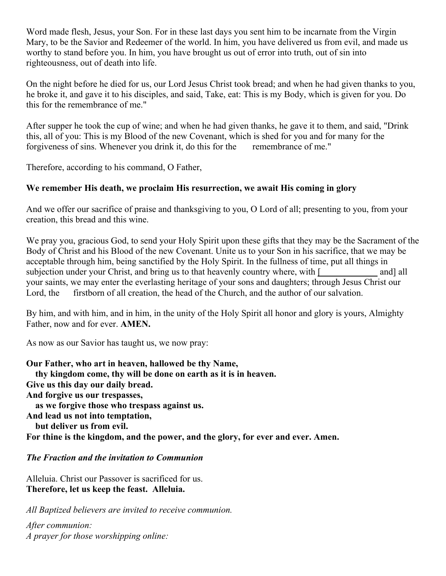Word made flesh, Jesus, your Son. For in these last days you sent him to be incarnate from the Virgin Mary, to be the Savior and Redeemer of the world. In him, you have delivered us from evil, and made us worthy to stand before you. In him, you have brought us out of error into truth, out of sin into righteousness, out of death into life.

On the night before he died for us, our Lord Jesus Christ took bread; and when he had given thanks to you, he broke it, and gave it to his disciples, and said, Take, eat: This is my Body, which is given for you. Do this for the remembrance of me."

After supper he took the cup of wine; and when he had given thanks, he gave it to them, and said, "Drink this, all of you: This is my Blood of the new Covenant, which is shed for you and for many for the forgiveness of sins. Whenever you drink it, do this for the remembrance of me."

Therefore, according to his command, O Father,

### **We remember His death, we proclaim His resurrection, we await His coming in glory**

And we offer our sacrifice of praise and thanksgiving to you, O Lord of all; presenting to you, from your creation, this bread and this wine.

We pray you, gracious God, to send your Holy Spirit upon these gifts that they may be the Sacrament of the Body of Christ and his Blood of the new Covenant. Unite us to your Son in his sacrifice, that we may be acceptable through him, being sanctified by the Holy Spirit. In the fullness of time, put all things in subjection under your Christ, and bring us to that heavenly country where, with [ and] all your saints, we may enter the everlasting heritage of your sons and daughters; through Jesus Christ our Lord, the firstborn of all creation, the head of the Church, and the author of our salvation.

By him, and with him, and in him, in the unity of the Holy Spirit all honor and glory is yours, Almighty Father, now and for ever. **AMEN.**

As now as our Savior has taught us, we now pray:

**Our Father, who art in heaven, hallowed be thy Name, thy kingdom come, thy will be done on earth as it is in heaven. Give us this day our daily bread. And forgive us our trespasses, as we forgive those who trespass against us. And lead us not into temptation, but deliver us from evil. For thine is the kingdom, and the power, and the glory, for ever and ever. Amen.** 

### *The Fraction and the invitation to Communion*

Alleluia. Christ our Passover is sacrificed for us. **Therefore, let us keep the feast. Alleluia.**

*All Baptized believers are invited to receive communion.* 

*After communion: A prayer for those worshipping online:*